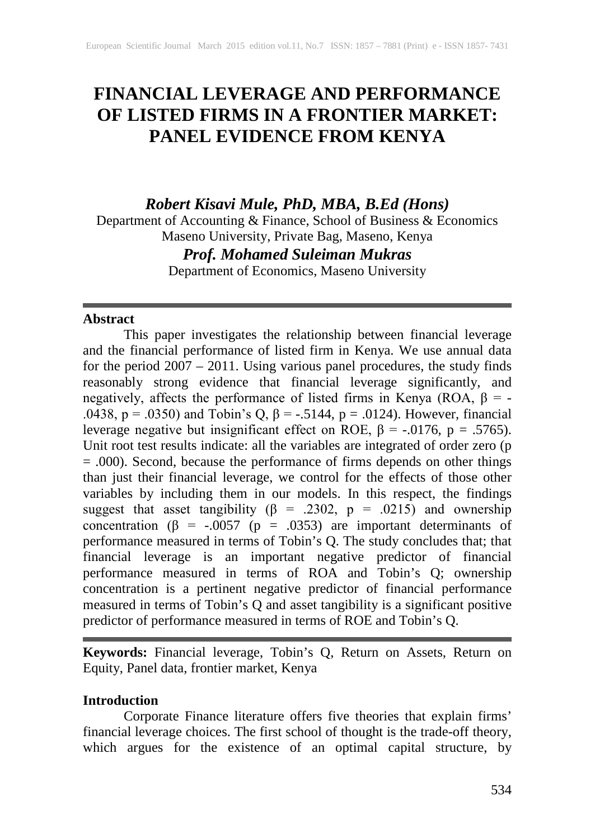# **FINANCIAL LEVERAGE AND PERFORMANCE OF LISTED FIRMS IN A FRONTIER MARKET: PANEL EVIDENCE FROM KENYA**

*Robert Kisavi Mule, PhD, MBA, B.Ed (Hons)*

Department of Accounting & Finance, School of Business & Economics Maseno University, Private Bag, Maseno, Kenya

*Prof. Mohamed Suleiman Mukras*

Department of Economics, Maseno University

## **Abstract**

This paper investigates the relationship between financial leverage and the financial performance of listed firm in Kenya. We use annual data for the period 2007 – 2011. Using various panel procedures, the study finds reasonably strong evidence that financial leverage significantly, and negatively, affects the performance of listed firms in Kenya (ROA,  $\beta$  = -.0438, p = .0350) and Tobin's Q,  $\beta$  = -.5144, p = .0124). However, financial leverage negative but insignificant effect on ROE,  $β = -.0176$ ,  $p = .5765$ ). Unit root test results indicate: all the variables are integrated of order zero (p = .000). Second, because the performance of firms depends on other things than just their financial leverage, we control for the effects of those other variables by including them in our models. In this respect, the findings suggest that asset tangibility ( $\beta$  = .2302,  $p$  = .0215) and ownership concentration ( $\beta$  = -.0057 ( $p$  = .0353) are important determinants of performance measured in terms of Tobin's Q. The study concludes that; that financial leverage is an important negative predictor of financial performance measured in terms of ROA and Tobin's Q; ownership concentration is a pertinent negative predictor of financial performance measured in terms of Tobin's Q and asset tangibility is a significant positive predictor of performance measured in terms of ROE and Tobin's Q.

**Keywords:** Financial leverage, Tobin's Q, Return on Assets, Return on Equity, Panel data, frontier market, Kenya

## **Introduction**

Corporate Finance literature offers five theories that explain firms' financial leverage choices. The first school of thought is the trade-off theory, which argues for the existence of an optimal capital structure, by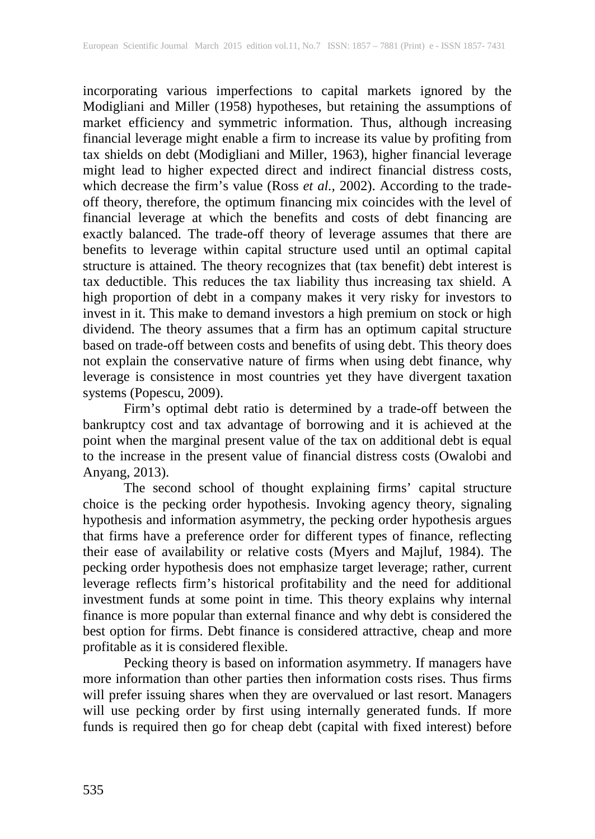incorporating various imperfections to capital markets ignored by the Modigliani and Miller (1958) hypotheses, but retaining the assumptions of market efficiency and symmetric information. Thus, although increasing financial leverage might enable a firm to increase its value by profiting from tax shields on debt (Modigliani and Miller, 1963), higher financial leverage might lead to higher expected direct and indirect financial distress costs, which decrease the firm's value (Ross *et al.,* 2002). According to the tradeoff theory, therefore, the optimum financing mix coincides with the level of financial leverage at which the benefits and costs of debt financing are exactly balanced. The trade-off theory of leverage assumes that there are benefits to leverage within capital structure used until an optimal capital structure is attained. The theory recognizes that (tax benefit) debt interest is tax deductible. This reduces the tax liability thus increasing tax shield. A high proportion of debt in a company makes it very risky for investors to invest in it. This make to demand investors a high premium on stock or high dividend. The theory assumes that a firm has an optimum capital structure based on trade-off between costs and benefits of using debt. This theory does not explain the conservative nature of firms when using debt finance, why leverage is consistence in most countries yet they have divergent taxation systems (Popescu, 2009).

Firm's optimal debt ratio is determined by a trade-off between the bankruptcy cost and tax advantage of borrowing and it is achieved at the point when the marginal present value of the tax on additional debt is equal to the increase in the present value of financial distress costs (Owalobi and Anyang, 2013).

The second school of thought explaining firms' capital structure choice is the pecking order hypothesis. Invoking agency theory, signaling hypothesis and information asymmetry, the pecking order hypothesis argues that firms have a preference order for different types of finance, reflecting their ease of availability or relative costs (Myers and Majluf, 1984). The pecking order hypothesis does not emphasize target leverage; rather, current leverage reflects firm's historical profitability and the need for additional investment funds at some point in time. This theory explains why internal finance is more popular than external finance and why debt is considered the best option for firms. Debt finance is considered attractive, cheap and more profitable as it is considered flexible.

Pecking theory is based on information asymmetry. If managers have more information than other parties then information costs rises. Thus firms will prefer issuing shares when they are overvalued or last resort. Managers will use pecking order by first using internally generated funds. If more funds is required then go for cheap debt (capital with fixed interest) before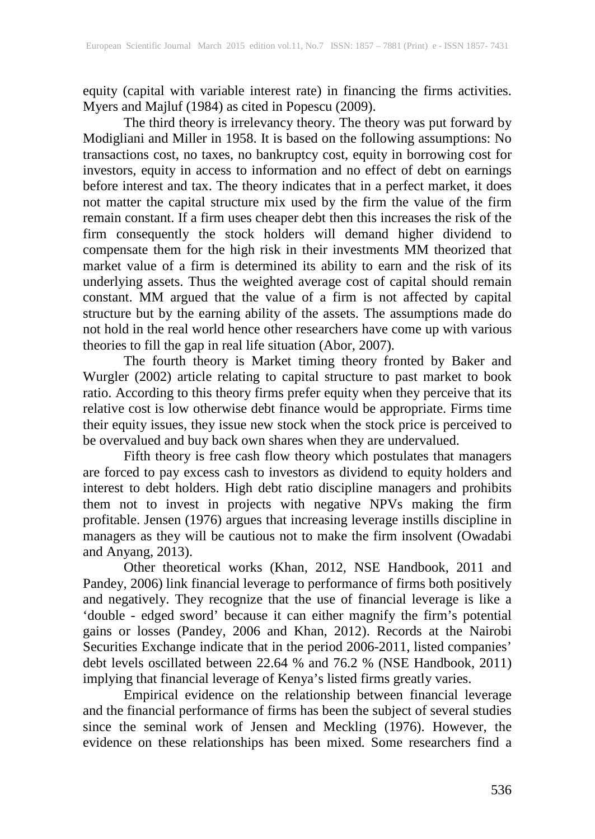equity (capital with variable interest rate) in financing the firms activities. Myers and Majluf (1984) as cited in Popescu (2009).

The third theory is irrelevancy theory. The theory was put forward by Modigliani and Miller in 1958. It is based on the following assumptions: No transactions cost, no taxes, no bankruptcy cost, equity in borrowing cost for investors, equity in access to information and no effect of debt on earnings before interest and tax. The theory indicates that in a perfect market, it does not matter the capital structure mix used by the firm the value of the firm remain constant. If a firm uses cheaper debt then this increases the risk of the firm consequently the stock holders will demand higher dividend to compensate them for the high risk in their investments MM theorized that market value of a firm is determined its ability to earn and the risk of its underlying assets. Thus the weighted average cost of capital should remain constant. MM argued that the value of a firm is not affected by capital structure but by the earning ability of the assets. The assumptions made do not hold in the real world hence other researchers have come up with various theories to fill the gap in real life situation (Abor, 2007).

The fourth theory is Market timing theory fronted by Baker and Wurgler (2002) article relating to capital structure to past market to book ratio. According to this theory firms prefer equity when they perceive that its relative cost is low otherwise debt finance would be appropriate. Firms time their equity issues, they issue new stock when the stock price is perceived to be overvalued and buy back own shares when they are undervalued.

Fifth theory is free cash flow theory which postulates that managers are forced to pay excess cash to investors as dividend to equity holders and interest to debt holders. High debt ratio discipline managers and prohibits them not to invest in projects with negative NPVs making the firm profitable. Jensen (1976) argues that increasing leverage instills discipline in managers as they will be cautious not to make the firm insolvent (Owadabi and Anyang, 2013).

Other theoretical works (Khan, 2012, NSE Handbook, 2011 and Pandey, 2006) link financial leverage to performance of firms both positively and negatively. They recognize that the use of financial leverage is like a 'double - edged sword' because it can either magnify the firm's potential gains or losses (Pandey, 2006 and Khan, 2012). Records at the Nairobi Securities Exchange indicate that in the period 2006-2011, listed companies' debt levels oscillated between 22.64 % and 76.2 % (NSE Handbook, 2011) implying that financial leverage of Kenya's listed firms greatly varies.

Empirical evidence on the relationship between financial leverage and the financial performance of firms has been the subject of several studies since the seminal work of Jensen and Meckling (1976). However, the evidence on these relationships has been mixed. Some researchers find a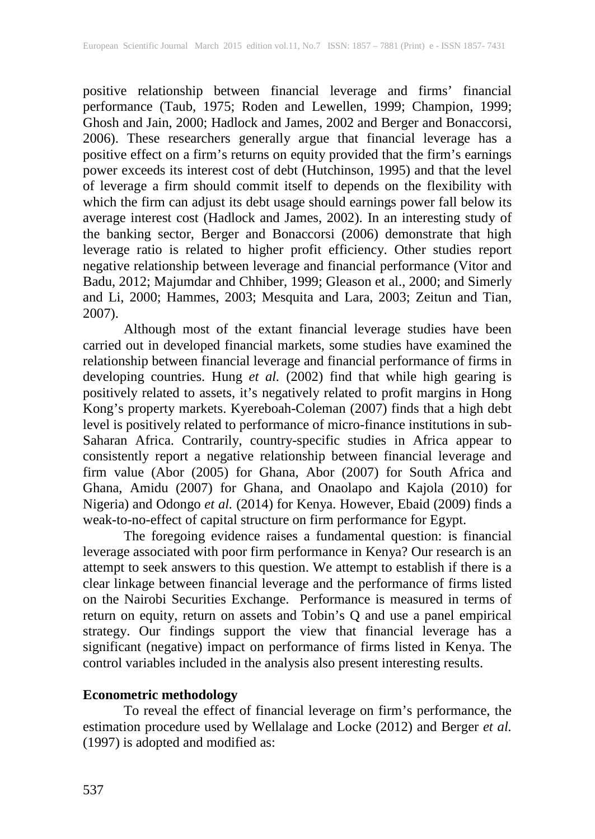positive relationship between financial leverage and firms' financial performance (Taub, 1975; Roden and Lewellen, 1999; Champion, 1999; Ghosh and Jain, 2000; Hadlock and James, 2002 and Berger and Bonaccorsi, 2006). These researchers generally argue that financial leverage has a positive effect on a firm's returns on equity provided that the firm's earnings power exceeds its interest cost of debt (Hutchinson, 1995) and that the level of leverage a firm should commit itself to depends on the flexibility with which the firm can adjust its debt usage should earnings power fall below its average interest cost (Hadlock and James, 2002). In an interesting study of the banking sector, Berger and Bonaccorsi (2006) demonstrate that high leverage ratio is related to higher profit efficiency. Other studies report negative relationship between leverage and financial performance (Vitor and Badu, 2012; Majumdar and Chhiber, 1999; Gleason et al., 2000; and Simerly and Li, 2000; Hammes, 2003; Mesquita and Lara, 2003; Zeitun and Tian, 2007).

Although most of the extant financial leverage studies have been carried out in developed financial markets, some studies have examined the relationship between financial leverage and financial performance of firms in developing countries. Hung *et al.* (2002) find that while high gearing is positively related to assets, it's negatively related to profit margins in Hong Kong's property markets. Kyereboah-Coleman (2007) finds that a high debt level is positively related to performance of micro-finance institutions in sub-Saharan Africa. Contrarily, country-specific studies in Africa appear to consistently report a negative relationship between financial leverage and firm value (Abor (2005) for Ghana, Abor (2007) for South Africa and Ghana, Amidu (2007) for Ghana, and Onaolapo and Kajola (2010) for Nigeria) and Odongo *et al.* (2014) for Kenya. However, Ebaid (2009) finds a weak-to-no-effect of capital structure on firm performance for Egypt.

The foregoing evidence raises a fundamental question: is financial leverage associated with poor firm performance in Kenya? Our research is an attempt to seek answers to this question. We attempt to establish if there is a clear linkage between financial leverage and the performance of firms listed on the Nairobi Securities Exchange. Performance is measured in terms of return on equity, return on assets and Tobin's Q and use a panel empirical strategy. Our findings support the view that financial leverage has a significant (negative) impact on performance of firms listed in Kenya. The control variables included in the analysis also present interesting results.

#### **Econometric methodology**

To reveal the effect of financial leverage on firm's performance, the estimation procedure used by Wellalage and Locke (2012) and Berger *et al.*  (1997) is adopted and modified as: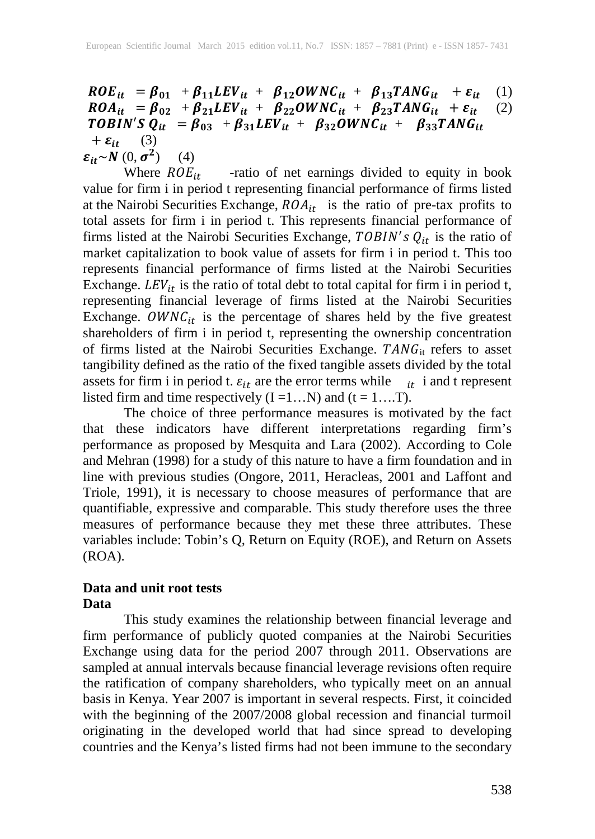$ROE_{it} = \beta_{01} + \beta_{11} LEV_{it} + \beta_{12} OWNC_{it} + \beta_{13} TANG_{it} + \varepsilon_{it}$  (1)<br>  $ROA_{it} = \beta_{02} + \beta_{21} LEV_{it} + \beta_{22} OWNC_{it} + \beta_{23} TANG_{it} + \varepsilon_{it}$  (2)  $ROA_{it} = \beta_{02} + \beta_{21} LEV_{it} + \beta_{22} OWNC_{it} + \beta_{23} TANG_{it} + \varepsilon_{it}$  (2) TOBIN'S  $Q_{it} = \beta_{03} + \beta_{31} LEV_{it} + \beta_{32} OWNC_{it} + \beta_{33} TANG_{it}$  $+\varepsilon_{it}$  (3)

 $\varepsilon_{it} \sim N(0, \sigma^2)$  (4)<br>Where  $ROE_{it}$ -ratio of net earnings divided to equity in book value for firm i in period t representing financial performance of firms listed at the Nairobi Securities Exchange,  $ROA_{it}$  is the ratio of pre-tax profits to total assets for firm i in period t. This represents financial performance of firms listed at the Nairobi Securities Exchange,  $TOBIN's Q_{it}$  is the ratio of market capitalization to book value of assets for firm i in period t. This too represents financial performance of firms listed at the Nairobi Securities Exchange.  $LEV_{it}$  is the ratio of total debt to total capital for firm i in period t, representing financial leverage of firms listed at the Nairobi Securities Exchange.  $OWNC_{it}$  is the percentage of shares held by the five greatest shareholders of firm i in period t, representing the ownership concentration of firms listed at the Nairobi Securities Exchange.  $TANG_{it}$  refers to asset tangibility defined as the ratio of the fixed tangible assets divided by the total assets for firm i in period t.  $\varepsilon_{it}$  are the error terms while  $\epsilon_{it}$  i and t represent listed firm and time respectively  $(I = 1...N)$  and  $(t = 1...T)$ .

The choice of three performance measures is motivated by the fact that these indicators have different interpretations regarding firm's performance as proposed by Mesquita and Lara (2002). According to Cole and Mehran (1998) for a study of this nature to have a firm foundation and in line with previous studies (Ongore, 2011, Heracleas, 2001 and Laffont and Triole, 1991), it is necessary to choose measures of performance that are quantifiable, expressive and comparable. This study therefore uses the three measures of performance because they met these three attributes. These variables include: Tobin's Q, Return on Equity (ROE), and Return on Assets (ROA).

#### **Data and unit root tests Data**

This study examines the relationship between financial leverage and firm performance of publicly quoted companies at the Nairobi Securities Exchange using data for the period 2007 through 2011. Observations are sampled at annual intervals because financial leverage revisions often require the ratification of company shareholders, who typically meet on an annual basis in Kenya. Year 2007 is important in several respects. First, it coincided with the beginning of the 2007/2008 global recession and financial turmoil originating in the developed world that had since spread to developing countries and the Kenya's listed firms had not been immune to the secondary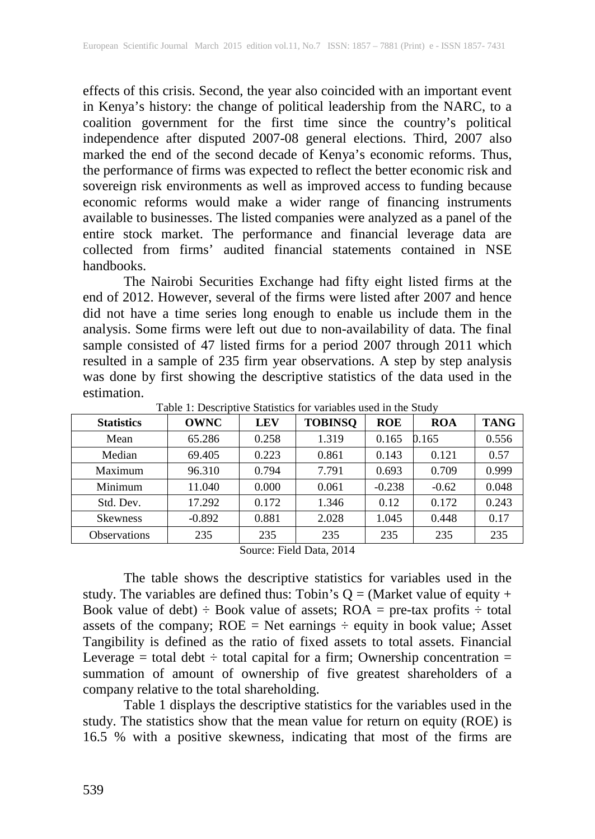effects of this crisis. Second, the year also coincided with an important event in Kenya's history: the change of political leadership from the NARC, to a coalition government for the first time since the country's political independence after disputed 2007-08 general elections. Third, 2007 also marked the end of the second decade of Kenya's economic reforms. Thus, the performance of firms was expected to reflect the better economic risk and sovereign risk environments as well as improved access to funding because economic reforms would make a wider range of financing instruments available to businesses. The listed companies were analyzed as a panel of the entire stock market. The performance and financial leverage data are collected from firms' audited financial statements contained in NSE handbooks.

The Nairobi Securities Exchange had fifty eight listed firms at the end of 2012. However, several of the firms were listed after 2007 and hence did not have a time series long enough to enable us include them in the analysis. Some firms were left out due to non-availability of data. The final sample consisted of 47 listed firms for a period 2007 through 2011 which resulted in a sample of 235 firm year observations. A step by step analysis was done by first showing the descriptive statistics of the data used in the estimation.

| <b>Statistics</b>   | <b>OWNC</b> | <b>LEV</b> | <b>TOBINSQ</b> | <b>ROE</b> | <b>ROA</b> | <b>TANG</b> |
|---------------------|-------------|------------|----------------|------------|------------|-------------|
| Mean                | 65.286      | 0.258      | 1.319          | 0.165      | 0.165      | 0.556       |
| Median              | 69.405      | 0.223      | 0.861          | 0.143      | 0.121      | 0.57        |
| Maximum             | 96.310      | 0.794      | 7.791          | 0.693      | 0.709      | 0.999       |
| Minimum             | 11.040      | 0.000      | 0.061          | $-0.238$   | $-0.62$    | 0.048       |
| Std. Dev.           | 17.292      | 0.172      | 1.346          | 0.12       | 0.172      | 0.243       |
| <b>Skewness</b>     | $-0.892$    | 0.881      | 2.028          | 1.045      | 0.448      | 0.17        |
| <b>Observations</b> | 235         | 235        | 235            | 235        | 235        | 235         |

Table 1: Descriptive Statistics for variables used in the Study

Source: Field Data, 2014

The table shows the descriptive statistics for variables used in the study. The variables are defined thus: Tobin's  $Q = (Market value of equity +$ Book value of debt)  $\div$  Book value of assets; ROA = pre-tax profits  $\div$  total assets of the company;  $ROE = Net$  earnings  $\div$  equity in book value; Asset Tangibility is defined as the ratio of fixed assets to total assets. Financial Leverage = total debt  $\div$  total capital for a firm; Ownership concentration = summation of amount of ownership of five greatest shareholders of a company relative to the total shareholding.

Table 1 displays the descriptive statistics for the variables used in the study. The statistics show that the mean value for return on equity (ROE) is 16.5 % with a positive skewness, indicating that most of the firms are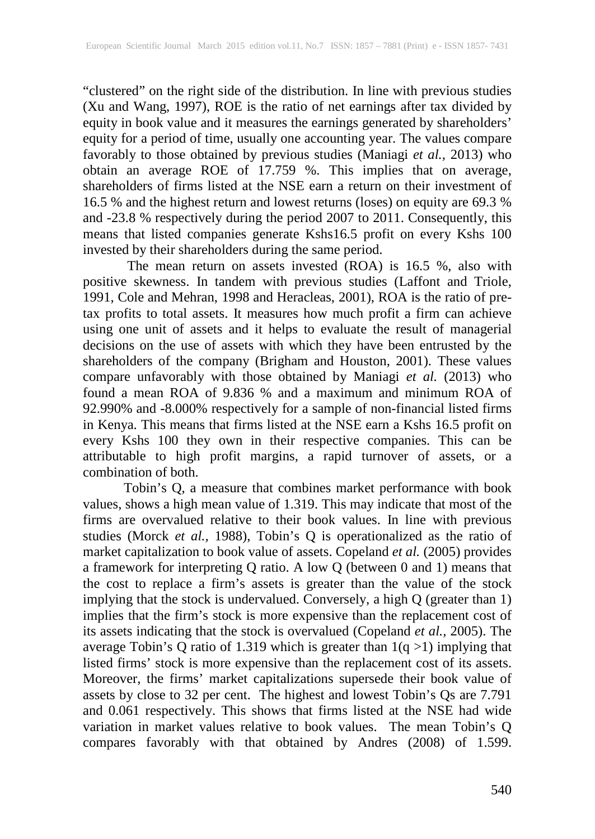"clustered" on the right side of the distribution. In line with previous studies (Xu and Wang, 1997), ROE is the ratio of net earnings after tax divided by equity in book value and it measures the earnings generated by shareholders' equity for a period of time, usually one accounting year. The values compare favorably to those obtained by previous studies (Maniagi *et al.,* 2013) who obtain an average ROE of 17.759 %. This implies that on average, shareholders of firms listed at the NSE earn a return on their investment of 16.5 % and the highest return and lowest returns (loses) on equity are 69.3 % and -23.8 % respectively during the period 2007 to 2011. Consequently, this means that listed companies generate Kshs16.5 profit on every Kshs 100 invested by their shareholders during the same period.

The mean return on assets invested (ROA) is 16.5 %, also with positive skewness. In tandem with previous studies (Laffont and Triole, 1991, Cole and Mehran, 1998 and Heracleas, 2001), ROA is the ratio of pretax profits to total assets. It measures how much profit a firm can achieve using one unit of assets and it helps to evaluate the result of managerial decisions on the use of assets with which they have been entrusted by the shareholders of the company (Brigham and Houston, 2001). These values compare unfavorably with those obtained by Maniagi *et al.* (2013) who found a mean ROA of 9.836 % and a maximum and minimum ROA of 92.990% and -8.000% respectively for a sample of non-financial listed firms in Kenya. This means that firms listed at the NSE earn a Kshs 16.5 profit on every Kshs 100 they own in their respective companies. This can be attributable to high profit margins, a rapid turnover of assets, or a combination of both.

Tobin's Q, a measure that combines market performance with book values, shows a high mean value of 1.319. This may indicate that most of the firms are overvalued relative to their book values. In line with previous studies (Morck *et al.,* 1988), Tobin's Q is operationalized as the ratio of market capitalization to book value of assets. Copeland *et al.* (2005) provides a framework for interpreting Q ratio. A low Q (between 0 and 1) means that the cost to replace a firm's assets is greater than the value of the stock implying that the stock is undervalued. Conversely, a high Q (greater than 1) implies that the firm's stock is more expensive than the replacement cost of its assets indicating that the stock is overvalued (Copeland *et al.,* 2005). The average Tobin's Q ratio of 1.319 which is greater than 1(q >1) implying that listed firms' stock is more expensive than the replacement cost of its assets. Moreover, the firms' market capitalizations supersede their book value of assets by close to 32 per cent. The highest and lowest Tobin's Qs are 7.791 and 0.061 respectively. This shows that firms listed at the NSE had wide variation in market values relative to book values. The mean Tobin's Q compares favorably with that obtained by Andres (2008) of 1.599.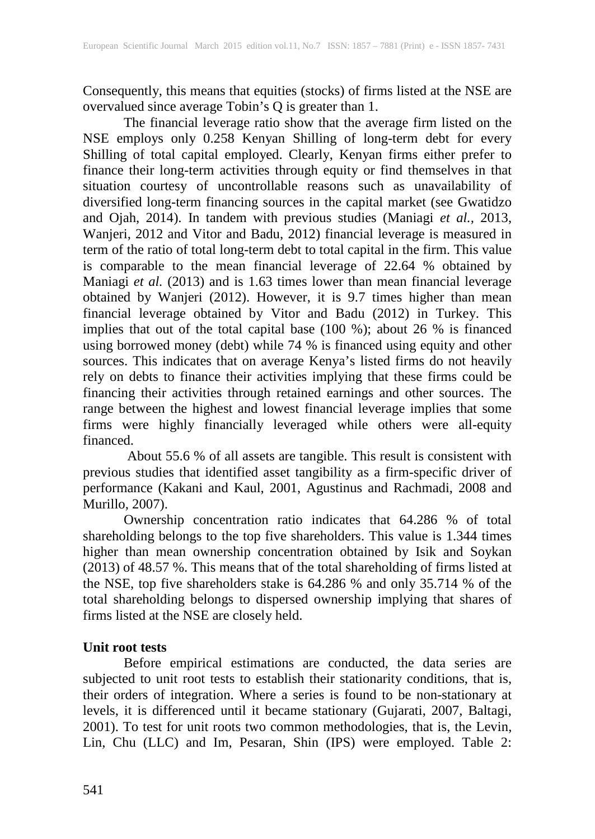Consequently, this means that equities (stocks) of firms listed at the NSE are overvalued since average Tobin's Q is greater than 1.

The financial leverage ratio show that the average firm listed on the NSE employs only 0.258 Kenyan Shilling of long-term debt for every Shilling of total capital employed. Clearly, Kenyan firms either prefer to finance their long-term activities through equity or find themselves in that situation courtesy of uncontrollable reasons such as unavailability of diversified long-term financing sources in the capital market (see Gwatidzo and Ojah, 2014). In tandem with previous studies (Maniagi *et al.,* 2013, Wanjeri, 2012 and Vitor and Badu, 2012) financial leverage is measured in term of the ratio of total long-term debt to total capital in the firm. This value is comparable to the mean financial leverage of 22.64 % obtained by Maniagi *et al.* (2013) and is 1.63 times lower than mean financial leverage obtained by Wanjeri (2012). However, it is 9.7 times higher than mean financial leverage obtained by Vitor and Badu (2012) in Turkey. This implies that out of the total capital base (100 %); about 26 % is financed using borrowed money (debt) while 74 % is financed using equity and other sources. This indicates that on average Kenya's listed firms do not heavily rely on debts to finance their activities implying that these firms could be financing their activities through retained earnings and other sources. The range between the highest and lowest financial leverage implies that some firms were highly financially leveraged while others were all-equity financed.

About 55.6 % of all assets are tangible. This result is consistent with previous studies that identified asset tangibility as a firm-specific driver of performance (Kakani and Kaul, 2001, Agustinus and Rachmadi, 2008 and Murillo, 2007).

Ownership concentration ratio indicates that 64.286 % of total shareholding belongs to the top five shareholders. This value is 1.344 times higher than mean ownership concentration obtained by Isik and Soykan (2013) of 48.57 %. This means that of the total shareholding of firms listed at the NSE, top five shareholders stake is 64.286 % and only 35.714 % of the total shareholding belongs to dispersed ownership implying that shares of firms listed at the NSE are closely held.

## **Unit root tests**

Before empirical estimations are conducted, the data series are subjected to unit root tests to establish their stationarity conditions, that is, their orders of integration. Where a series is found to be non-stationary at levels, it is differenced until it became stationary (Gujarati, 2007, Baltagi, 2001). To test for unit roots two common methodologies, that is, the Levin, Lin, Chu (LLC) and Im, Pesaran, Shin (IPS) were employed. Table 2: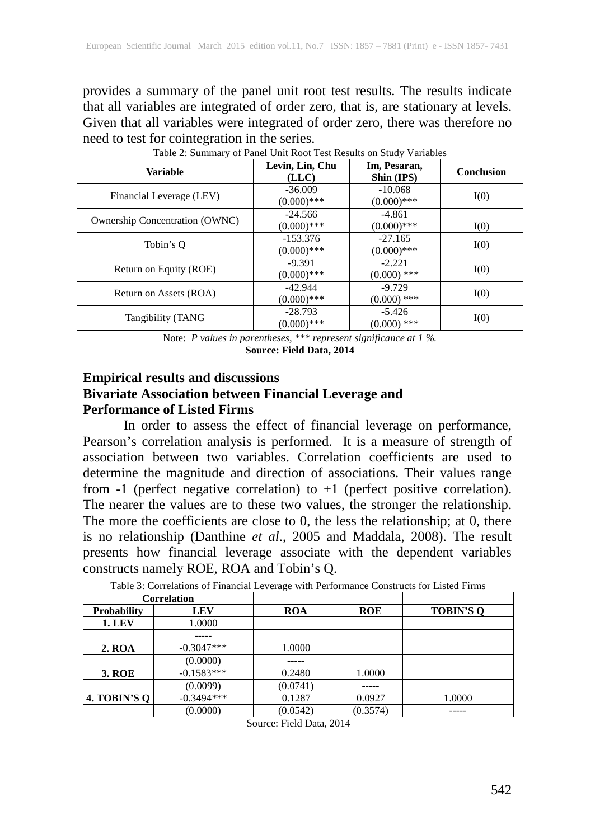provides a summary of the panel unit root test results. The results indicate that all variables are integrated of order zero, that is, are stationary at levels. Given that all variables were integrated of order zero, there was therefore no need to test for cointegration in the series.

| Table 2: Summary of Panel Unit Root Test Results on Study Variables                              |                                                         |                            |            |  |  |  |  |
|--------------------------------------------------------------------------------------------------|---------------------------------------------------------|----------------------------|------------|--|--|--|--|
| <b>Variable</b>                                                                                  | Levin, Lin, Chu<br>Im, Pesaran,<br>Shin (IPS)<br>(LLC)  |                            | Conclusion |  |  |  |  |
| Financial Leverage (LEV)                                                                         | $-36.009$<br>$(0.000)$ ***                              | $-10.068$<br>$(0.000)$ *** | I(0)       |  |  |  |  |
| <b>Ownership Concentration (OWNC)</b>                                                            | $-24.566$<br>$(0.000)$ ***                              | $-4.861$<br>$(0.000)$ ***  | I(0)       |  |  |  |  |
| Tobin's O                                                                                        | $-153.376$<br>$(0.000)$ ***                             | $-27.165$<br>$(0.000)$ *** | I(0)       |  |  |  |  |
| Return on Equity (ROE)                                                                           | $-9.391$<br>$(0.000)$ ***                               | $-2.221$<br>$(0.000)$ ***  | I(0)       |  |  |  |  |
| Return on Assets (ROA)                                                                           | $-42.944$<br>$(0.000)$ ***                              | $-9.729$<br>$(0.000)$ ***  | I(0)       |  |  |  |  |
| Tangibility (TANG                                                                                | $-28.793$<br>$-5.426$<br>$(0.000)$ ***<br>$(0.000)$ *** |                            | I(0)       |  |  |  |  |
| Note: P values in parentheses, *** represent significance at $1\%$ .<br>Source: Field Data, 2014 |                                                         |                            |            |  |  |  |  |

## **Empirical results and discussions Bivariate Association between Financial Leverage and Performance of Listed Firms**

In order to assess the effect of financial leverage on performance, Pearson's correlation analysis is performed. It is a measure of strength of association between two variables. Correlation coefficients are used to determine the magnitude and direction of associations. Their values range from -1 (perfect negative correlation) to +1 (perfect positive correlation). The nearer the values are to these two values, the stronger the relationship. The more the coefficients are close to 0, the less the relationship; at 0, there is no relationship (Danthine *et al*., 2005 and Maddala, 2008). The result presents how financial leverage associate with the dependent variables constructs namely ROE, ROA and Tobin's Q.

| Correlation   |              |            |            |                  |
|---------------|--------------|------------|------------|------------------|
| Probability   | <b>LEV</b>   | <b>ROA</b> | <b>ROE</b> | <b>TOBIN'S O</b> |
| <b>1. LEV</b> | 1.0000       |            |            |                  |
|               |              |            |            |                  |
| <b>2. ROA</b> | $-0.3047***$ | 1.0000     |            |                  |
|               | (0.0000)     |            |            |                  |
| <b>3. ROE</b> | $-0.1583***$ | 0.2480     | 1.0000     |                  |
|               | (0.0099)     | (0.0741)   |            |                  |
| 4. TOBIN'S O  | $-0.3494***$ | 0.1287     | 0.0927     | 1.0000           |
|               | (0.0000)     | (0.0542)   | (0.3574)   |                  |

Table 3: Correlations of Financial Leverage with Performance Constructs for Listed Firms

Source: Field Data, 2014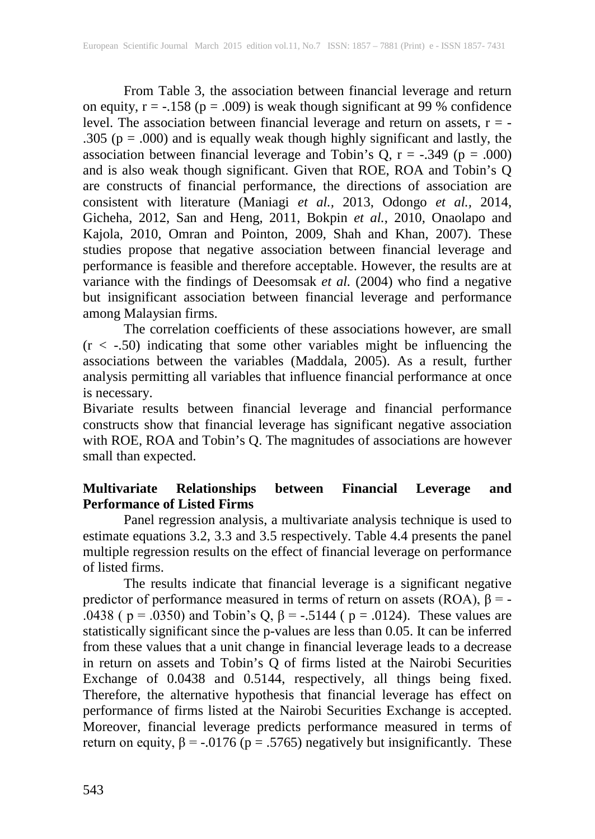From Table 3, the association between financial leverage and return on equity,  $r = -.158$  ( $p = .009$ ) is weak though significant at 99 % confidence level. The association between financial leverage and return on assets, r = - .305 ( $p = .000$ ) and is equally weak though highly significant and lastly, the association between financial leverage and Tobin's  $Q$ ,  $r = -.349$  ( $p = .000$ ) and is also weak though significant. Given that ROE, ROA and Tobin's Q are constructs of financial performance, the directions of association are consistent with literature (Maniagi *et al.,* 2013, Odongo *et al.,* 2014, Gicheha, 2012, San and Heng, 2011, Bokpin *et al.*, 2010, Onaolapo and Kajola, 2010, Omran and Pointon, 2009, Shah and Khan, 2007). These studies propose that negative association between financial leverage and performance is feasible and therefore acceptable. However, the results are at variance with the findings of Deesomsak *et al.* (2004) who find a negative but insignificant association between financial leverage and performance among Malaysian firms.

The correlation coefficients of these associations however, are small  $(r < -0.50)$  indicating that some other variables might be influencing the associations between the variables (Maddala, 2005). As a result, further analysis permitting all variables that influence financial performance at once is necessary.

Bivariate results between financial leverage and financial performance constructs show that financial leverage has significant negative association with ROE, ROA and Tobin's Q. The magnitudes of associations are however small than expected.

# **Multivariate Relationships between Financial Leverage and Performance of Listed Firms**

Panel regression analysis, a multivariate analysis technique is used to estimate equations 3.2, 3.3 and 3.5 respectively. Table 4.4 presents the panel multiple regression results on the effect of financial leverage on performance of listed firms.

The results indicate that financial leverage is a significant negative predictor of performance measured in terms of return on assets (ROA),  $β = -$ .0438 (  $p = .0350$ ) and Tobin's Q,  $\beta = -.5144$  (  $p = .0124$ ). These values are statistically significant since the p-values are less than 0.05. It can be inferred from these values that a unit change in financial leverage leads to a decrease in return on assets and Tobin's Q of firms listed at the Nairobi Securities Exchange of 0.0438 and 0.5144, respectively, all things being fixed. Therefore, the alternative hypothesis that financial leverage has effect on performance of firms listed at the Nairobi Securities Exchange is accepted. Moreover, financial leverage predicts performance measured in terms of return on equity,  $\beta$  = -.0176 (p = .5765) negatively but insignificantly. These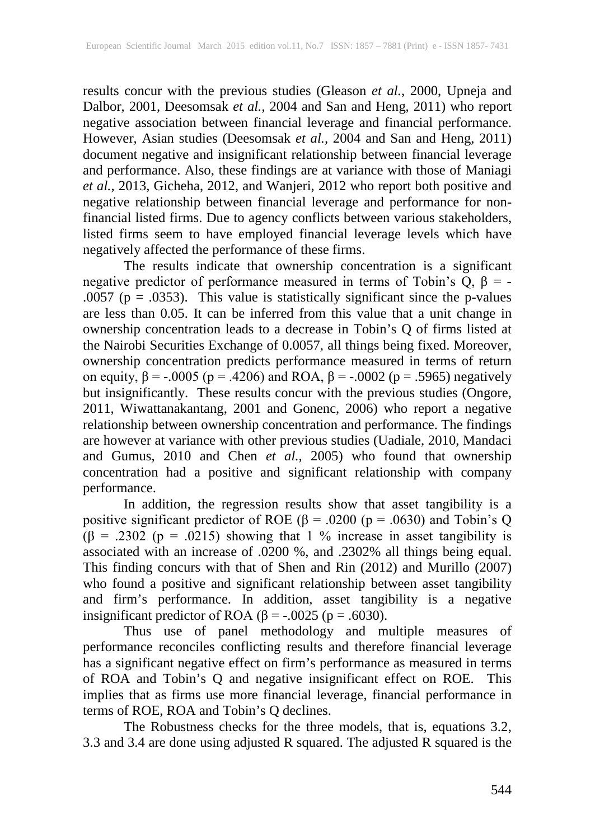results concur with the previous studies (Gleason *et al.*, 2000, Upneja and Dalbor, 2001, Deesomsak *et al.,* 2004 and San and Heng, 2011) who report negative association between financial leverage and financial performance. However, Asian studies (Deesomsak *et al.,* 2004 and San and Heng, 2011) document negative and insignificant relationship between financial leverage and performance. Also, these findings are at variance with those of Maniagi *et al.,* 2013, Gicheha, 2012, and Wanjeri, 2012 who report both positive and negative relationship between financial leverage and performance for nonfinancial listed firms. Due to agency conflicts between various stakeholders, listed firms seem to have employed financial leverage levels which have negatively affected the performance of these firms.

The results indicate that ownership concentration is a significant negative predictor of performance measured in terms of Tobin's Q,  $\beta$  = -.0057 ( $p = .0353$ ). This value is statistically significant since the p-values are less than 0.05. It can be inferred from this value that a unit change in ownership concentration leads to a decrease in Tobin's Q of firms listed at the Nairobi Securities Exchange of 0.0057, all things being fixed. Moreover, ownership concentration predicts performance measured in terms of return on equity,  $\beta$  = -.0005 (p = .4206) and ROA,  $\beta$  = -.0002 (p = .5965) negatively but insignificantly. These results concur with the previous studies (Ongore, 2011, Wiwattanakantang, 2001 and Gonenc, 2006) who report a negative relationship between ownership concentration and performance. The findings are however at variance with other previous studies (Uadiale, 2010, Mandaci and Gumus, 2010 and Chen *et al.,* 2005) who found that ownership concentration had a positive and significant relationship with company performance.

In addition, the regression results show that asset tangibility is a positive significant predictor of ROE ( $\beta$  = .0200 ( $p$  = .0630) and Tobin's Q (β = .2302 (p = .0215) showing that 1 % increase in asset tangibility is associated with an increase of .0200 %, and .2302% all things being equal. This finding concurs with that of Shen and Rin (2012) and Murillo (2007) who found a positive and significant relationship between asset tangibility and firm's performance. In addition, asset tangibility is a negative insignificant predictor of ROA ( $\beta$  = -.0025 ( $p$  = .6030).

Thus use of panel methodology and multiple measures of performance reconciles conflicting results and therefore financial leverage has a significant negative effect on firm's performance as measured in terms of ROA and Tobin's Q and negative insignificant effect on ROE. This implies that as firms use more financial leverage, financial performance in terms of ROE, ROA and Tobin's Q declines.

The Robustness checks for the three models, that is, equations 3.2, 3.3 and 3.4 are done using adjusted R squared. The adjusted R squared is the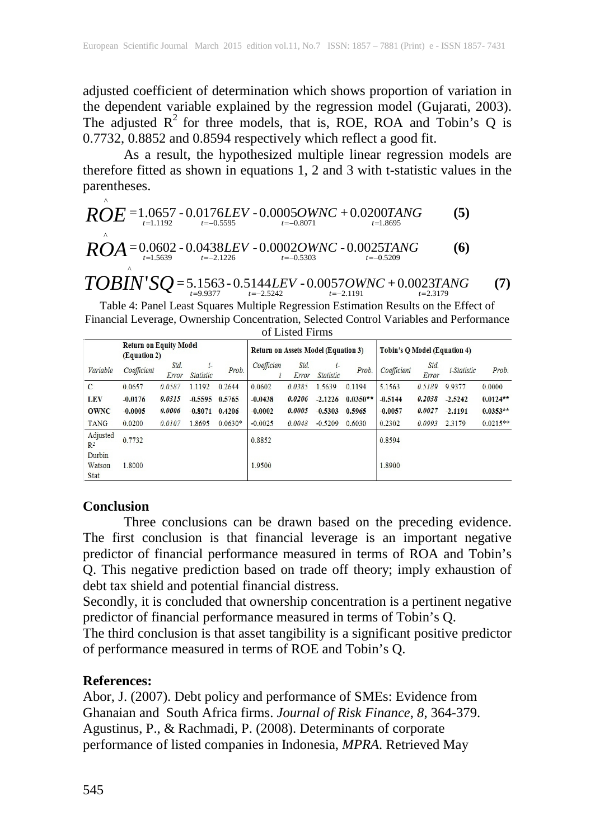adjusted coefficient of determination which shows proportion of variation in the dependent variable explained by the regression model (Gujarati, 2003). The adjusted  $R^2$  for three models, that is, ROE, ROA and Tobin's Q is 0.7732, 0.8852 and 0.8594 respectively which reflect a good fit.

As a result, the hypothesized multiple linear regression models are therefore fitted as shown in equations 1, 2 and 3 with t-statistic values in the parentheses.

$$
\hat{ROE} = 1.0657 - 0.0176LEV - 0.0005OWNC + 0.0200TANG
$$
 (5)

$$
ROA = 0.0602 - 0.0438LEV - 0.0002OWNC - 0.0025TANG
$$
\n
$$
= 0.0602 - 0.0438LEV - 0.0002OWNC - 0.0025TANG
$$

 $TOBIN'SQ = 5.1563 - 0.5144LEV - 0.0057OWNC + 0.0023TANG$  (7)

Table 4: Panel Least Squares Multiple Regression Estimation Results on the Effect of Financial Leverage, Ownership Concentration, Selected Control Variables and Performance of Listed Firms

|                                 | <b>Return on Equity Model</b><br>(Equation 2) |               |                          | <b>Return on Assets Model (Equation 3)</b> |            |               | Tobin's Q Model (Equation 4) |            |             |               |             |            |
|---------------------------------|-----------------------------------------------|---------------|--------------------------|--------------------------------------------|------------|---------------|------------------------------|------------|-------------|---------------|-------------|------------|
| Variable                        | Coefficient                                   | Std.<br>Error | $t-$<br><b>Statistic</b> | Prob.                                      | Coefficien | Std.<br>Error | $t-$<br><b>Statistic</b>     | Prob.      | Coefficient | Std.<br>Error | t-Statistic | Prob.      |
| $\mathbf{C}$                    | 0.0657                                        | 0.0587        | 1.1192                   | 0.2644                                     | 0.0602     | 0.0385        | 1.5639                       | 0.1194     | 5.1563      | 0.5189        | 9.9377      | 0.0000     |
| <b>LEV</b>                      | $-0.0176$                                     | 0.0315        | $-0.5595$                | 0.5765                                     | $-0.0438$  | 0.0206        | $-2.1226$                    | $0.0350**$ | $-0.5144$   | 0.2038        | $-2.5242$   | $0.0124**$ |
| <b>OWNC</b>                     | $-0.0005$                                     | 0.0006        | $-0.8071$                | 0.4206                                     | $-0.0002$  | 0.0005        | $-0.5303$                    | 0.5965     | $-0.0057$   | 0.0027        | $-2.1191$   | $0.0353**$ |
| <b>TANG</b>                     | 0.0200                                        | 0.0107        | 1.8695                   | $0.0630*$                                  | $-0.0025$  | 0.0048        | $-0.5209$                    | 0.6030     | 0.2302      | 0.0993        | 2.3179      | $0.0215**$ |
| Adjusted<br>R <sup>2</sup>      | 0.7732                                        |               |                          |                                            | 0.8852     |               |                              |            | 0.8594      |               |             |            |
| Durbin<br>Watson<br><b>Stat</b> | 1.8000                                        |               |                          |                                            | 1.9500     |               |                              |            | 1.8900      |               |             |            |

## **Conclusion**

Three conclusions can be drawn based on the preceding evidence. The first conclusion is that financial leverage is an important negative predictor of financial performance measured in terms of ROA and Tobin's Q. This negative prediction based on trade off theory; imply exhaustion of debt tax shield and potential financial distress.

Secondly, it is concluded that ownership concentration is a pertinent negative predictor of financial performance measured in terms of Tobin's Q.

The third conclusion is that asset tangibility is a significant positive predictor of performance measured in terms of ROE and Tobin's Q.

## **References:**

Abor, J. (2007). Debt policy and performance of SMEs: Evidence from Ghanaian and South Africa firms. *Journal of Risk Finance*, *8*, 364-379. Agustinus, P., & Rachmadi, P. (2008). Determinants of corporate performance of listed companies in Indonesia, *MPRA*. Retrieved May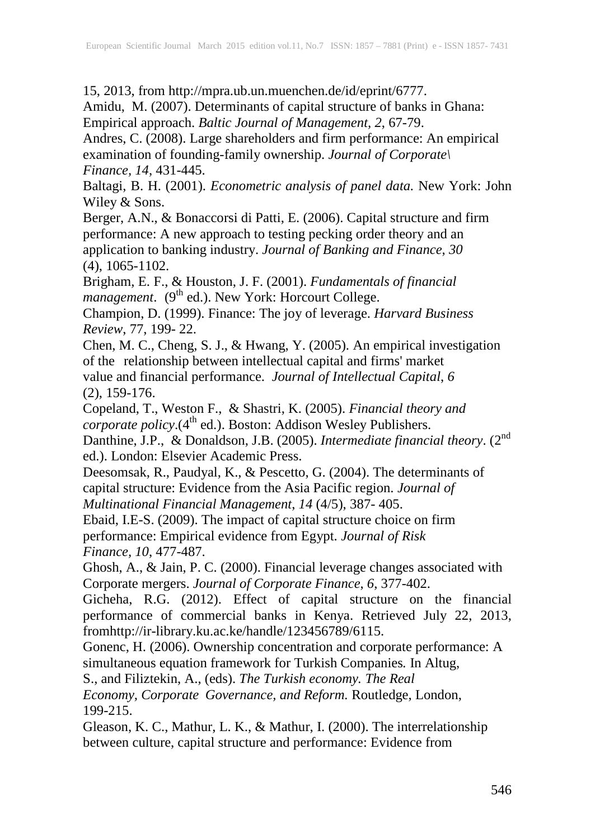15, 2013, from http://mpra.ub.un.muenchen.de/id/eprint/6777.

Amidu, M. (2007). Determinants of capital structure of banks in Ghana: Empirical approach. *Baltic Journal of Management, 2*, 67-79.

Andres, C. (2008). Large shareholders and firm performance: An empirical examination of founding-family ownership. *Journal of Corporate\ Finance, 14*, 431-445.

Baltagi, B. H. (2001). *Econometric analysis of panel data.* New York: John Wiley & Sons.

Berger, A.N., & Bonaccorsi di Patti, E. (2006). Capital structure and firm performance: A new approach to testing pecking order theory and an application to banking industry. *Journal of Banking and Finance*, *30* (4), 1065-1102.

Brigham, E. F., & Houston, J. F. (2001). *Fundamentals of financial* management. (9<sup>th</sup> ed.). New York: Horcourt College.

Champion, D. (1999). Finance: The joy of leverage. *Harvard Business Review*, 77, 199- 22.

Chen, M. C., Cheng, S. J., & Hwang, Y. (2005). An empirical investigation of the relationship between intellectual capital and firms' market value and financial performance. *Journal of Intellectual Capital*, *6* (2), 159-176.

Copeland, T., Weston F., & Shastri, K. (2005). *Financial theory and* corporate policy.(4<sup>th</sup> ed.). Boston: Addison Wesley Publishers.

Danthine, J.P., & Donaldson, J.B. (2005). *Intermediate financial theory*. (2<sup>nd</sup> ed.). London: Elsevier Academic Press.

Deesomsak, R., Paudyal, K., & Pescetto, G. (2004). The determinants of capital structure: Evidence from the Asia Pacific region. *Journal of Multinational Financial Management*, *14* (4/5), 387- 405.

Ebaid, I.E-S. (2009). The impact of capital structure choice on firm performance: Empirical evidence from Egypt. *Journal of Risk Finance, 10*, 477-487.

Ghosh, A., & Jain, P. C. (2000). Financial leverage changes associated with Corporate mergers. *Journal of Corporate Finance*, *6*, 377-402.

Gicheha, R.G. (2012). Effect of capital structure on the financial performance of commercial banks in Kenya. Retrieved July 22, 2013, fro[mhttp://ir-library.ku.ac.ke/handle/123456789/6115.](http://ir-library.ku.ac.ke/handle/123456789/6115)

Gonenc, H. (2006). Ownership concentration and corporate performance: A simultaneous equation framework for Turkish Companies*.* In Altug,

S., and Filiztekin, A., (eds). *The Turkish economy. The Real*

*Economy, Corporate Governance, and Reform.* Routledge, London, 199-215.

Gleason, K. C., Mathur, L. K., & Mathur, I. (2000). The interrelationship between culture, capital structure and performance: Evidence from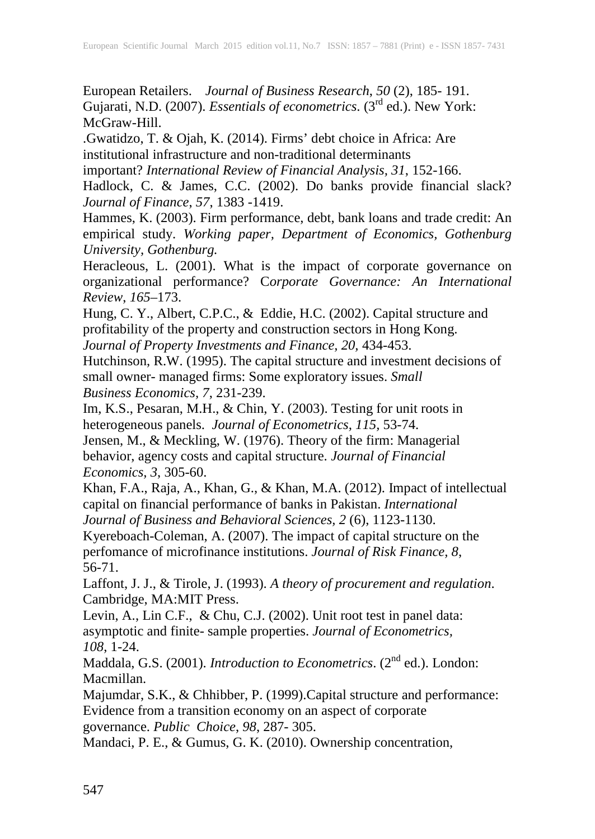European Retailers. *Journal of Business Research*, *50* (2), 185- 191. Gujarati, N.D. (2007). *Essentials of econometrics*. (3rd ed.). New York: McGraw-Hill.

.Gwatidzo, T. & Ojah, K. (2014). Firms' debt choice in Africa: Are institutional infrastructure and non-traditional determinants

important? *International Review of Financial Analysis, 31*, 152-166.

Hadlock, C. & James, C.C. (2002). Do banks provide financial slack? *Journal of Finance*, *57*, 1383 -1419.

Hammes, K. (2003). Firm performance, debt, bank loans and trade credit: An empirical study. *Working paper, Department of Economics, Gothenburg University, Gothenburg.*

Heracleous, L. (2001). What is the impact of corporate governance on organizational performance? C*orporate Governance: An International Review*, *165*–173.

Hung, C. Y., Albert, C.P.C., & Eddie, H.C. (2002). Capital structure and profitability of the property and construction sectors in Hong Kong. *Journal of Property Investments and Finance, 20,* 434-453.

Hutchinson, R.W. (1995). The capital structure and investment decisions of small owner- managed firms: Some exploratory issues. *Small Business Economics, 7*, 231-239.

Im, K.S., Pesaran, M.H., & Chin, Y. (2003). Testing for unit roots in heterogeneous panels. *Journal of Econometrics, 115,* 53-74.

Jensen, M., & Meckling, W. (1976). Theory of the firm: Managerial behavior, agency costs and capital structure. *Journal of Financial Economics, 3*, 305-60.

Khan, F.A., Raja, A., Khan, G., & Khan, M.A. (2012). Impact of intellectual capital on financial performance of banks in Pakistan. *International Journal of Business and Behavioral Sciences, 2* (6), 1123-1130.

Kyereboach-Coleman, A. (2007). The impact of capital structure on the perfomance of microfinance institutions. *Journal of Risk Finance, 8*, 56-71.

Laffont, J. J., & Tirole, J. (1993). *A theory of procurement and regulation*. Cambridge, MA:MIT Press.

Levin, A., Lin C.F., & Chu, C.J. (2002). Unit root test in panel data: asymptotic and finite- sample properties. *Journal of Econometrics, 108*, 1-24.

Maddala, G.S. (2001). *Introduction to Econometrics*. (2nd ed.). London: Macmillan.

Majumdar, S.K., & Chhibber, P. (1999).Capital structure and performance: Evidence from a transition economy on an aspect of corporate governance. *Public Choice*, *98*, 287- 305.

Mandaci, P. E., & Gumus, G. K. (2010). Ownership concentration,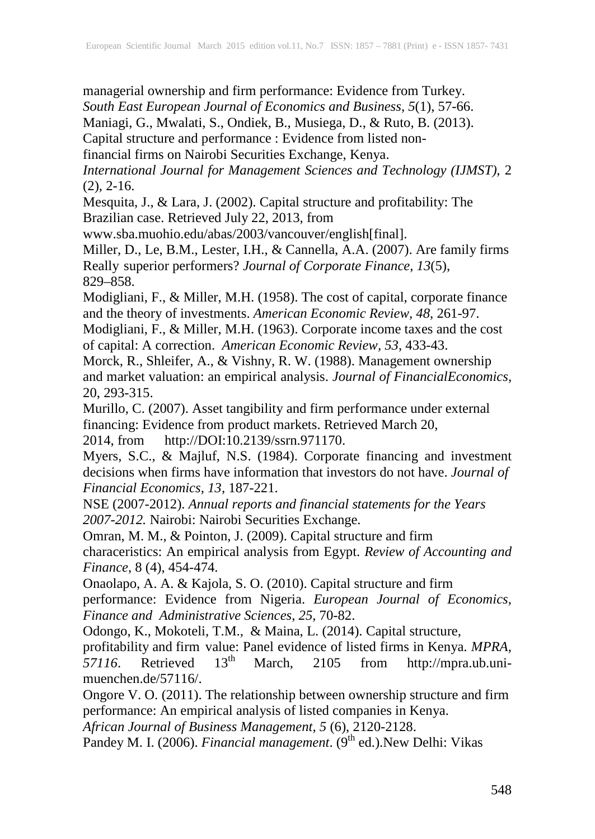managerial ownership and firm performance: Evidence from Turkey. *South East European Journal of Economics and Business*, *5*(1), 57-66. Maniagi, G., Mwalati, S., Ondiek, B., Musiega, D., & Ruto, B. (2013).

Capital structure and performance : Evidence from listed non-

financial firms on Nairobi Securities Exchange, Kenya.

*International Journal for Management Sciences and Technology (IJMST)*, 2  $(2)$ ,  $2-16$ .

Mesquita, J., & Lara, J. (2002). Capital structure and profitability: The Brazilian case. Retrieved July 22, 2013, from

[www.sba.muohio.edu/abas/2003/vancouver/english\[final\]](http://www.sba.muohio.edu/abas/2003/vancouver/english%5bfinal).

Miller, D., Le, B.M., Lester, I.H., & Cannella, A.A. (2007). Are family firms Really superior performers? *Journal of Corporate Finance, 13*(5), 829–858.

Modigliani, F., & Miller, M.H. (1958). The cost of capital, corporate finance and the theory of investments. *American Economic Review, 48*, 261-97.

Modigliani, F., & Miller, M.H. (1963). Corporate income taxes and the cost of capital: A correction. *American Economic Review, 53*, 433-43.

Morck, R., Shleifer, A., & Vishny, R. W. (1988). Management ownership and market valuation: an empirical analysis. *Journal of FinancialEconomics,*  20, 293-315.

Murillo, C. (2007). Asset tangibility and firm performance under external financing: Evidence from product markets. Retrieved March 20,

2014, from http://DOI:10.2139/ssrn.971170.

Myers, S.C., & Majluf, N.S. (1984). Corporate financing and investment decisions when firms have information that investors do not have. *Journal of Financial Economics, 13,* 187-221.

NSE (2007-2012). *Annual reports and financial statements for the Years 2007-2012.* Nairobi: Nairobi Securities Exchange.

Omran, M. M., & Pointon, J. (2009). Capital structure and firm characeristics: An empirical analysis from Egypt. *Review of Accounting and Finance*, 8 (4), 454-474.

Onaolapo, A. A. & Kajola, S. O. (2010). Capital structure and firm

performance: Evidence from Nigeria. *European Journal of Economics, Finance and Administrative Sciences*, *25*, 70-82.

Odongo, K., Mokoteli, T.M., & Maina, L. (2014). Capital structure,

profitability and firm value: Panel evidence of listed firms in Kenya. *MPRA*, 57116. Retrieved 13<sup>th</sup> March, 2105 from http://mpra.ub.uni-*57116*. Retrieved 13<sup>th</sup> March, 2105 from http://mpra.ub.unimuenchen.de/57116/.

Ongore V. O. (2011). The relationship between ownership structure and firm performance: An empirical analysis of listed companies in Kenya.

*African Journal of Business Management*, *5* (6), 2120-2128.

Pandey M. I. (2006). *Financial management*. (9<sup>th</sup> ed.). New Delhi: Vikas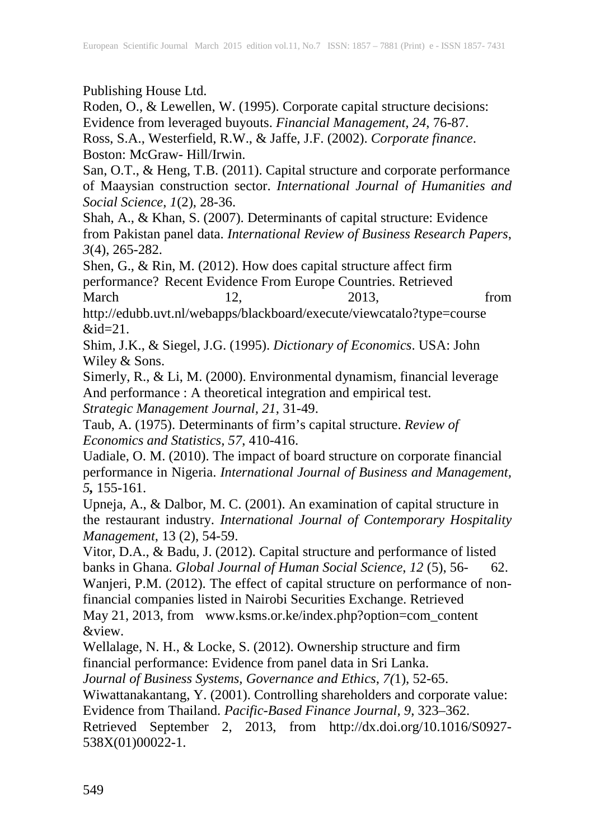Publishing House Ltd.

Roden, O., & Lewellen, W. (1995). Corporate capital structure decisions: Evidence from leveraged buyouts. *Financial Management, 24*, 76-87.

Ross, S.A., Westerfield, R.W., & Jaffe, J.F. (2002). *Corporate finance*. Boston: McGraw- Hill/Irwin.

San, O.T., & Heng, T.B. (2011). Capital structure and corporate performance of Maaysian construction sector. *International Journal of Humanities and Social Science*, *1*(2), 28-36.

Shah, A., & Khan, S. (2007). Determinants of capital structure: Evidence from Pakistan panel data. *International Review of Business Research Papers*, *3*(4), 265-282.

Shen, G., & Rin, M. (2012). How does capital structure affect firm performance? Recent Evidence From Europe Countries. Retrieved March 12, 2013, from

<http://edubb.uvt.nl/webapps/blackboard/execute/viewcatalo?type=course>  $&id=21.$ 

Shim, J.K., & Siegel, J.G. (1995). *Dictionary of Economics*. USA: John Wiley & Sons.

Simerly, R., & Li, M. (2000). Environmental dynamism, financial leverage And performance : A theoretical integration and empirical test.

*Strategic Management Journal, 21*, 31-49.

Taub, A. (1975). Determinants of firm's capital structure. *Review of Economics and Statistics, 57*, 410-416.

Uadiale, O. M. (2010). The impact of board structure on corporate financial performance in Nigeria. *International Journal of Business and Management, 5,* 155-161.

Upneja, A., & Dalbor, M. C. (2001). An examination of capital structure in the restaurant industry. *International Journal of Contemporary Hospitality Management*, 13 (2), 54-59.

Vitor, D.A., & Badu, J. (2012). Capital structure and performance of listed banks in Ghana. *Global Journal of Human Social Science*, *12* (5), 56- 62. Wanjeri, P.M. (2012). The effect of capital structure on performance of nonfinancial companies listed in Nairobi Securities Exchange. Retrieved May 21, 2013, from [www.ksms.or.ke/index.php?option=com\\_content](http://www.ksms.or.ke/index.php?option=com_content) &view.

Wellalage, N. H., & Locke, S. (2012). Ownership structure and firm financial performance: Evidence from panel data in Sri Lanka.

*Journal of Business Systems, Governance and Ethics*, *7(*1), 52-65.

Wiwattanakantang, Y. (2001). Controlling shareholders and corporate value:

Evidence from Thailand. *Pacific-Based Finance Journal, 9*, 323–362.

Retrieved September 2, 2013, from [http://dx.doi.org/10.1016/S0927-](http://dx.doi.org/10.1016/S0927-%09538X(01)00022-1) [538X\(01\)00022-1.](http://dx.doi.org/10.1016/S0927-%09538X(01)00022-1)